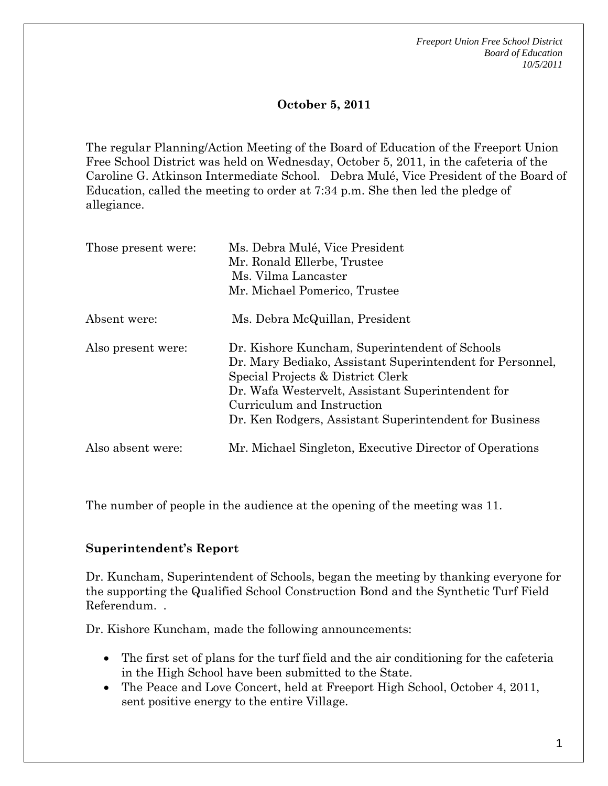*Freeport Union Free School District Board of Education 10/5/2011* 

### **October 5, 2011**

The regular Planning/Action Meeting of the Board of Education of the Freeport Union Free School District was held on Wednesday, October 5, 2011, in the cafeteria of the Caroline G. Atkinson Intermediate School. Debra Mulé, Vice President of the Board of Education, called the meeting to order at 7:34 p.m. She then led the pledge of allegiance.

| Those present were: | Ms. Debra Mulé, Vice President<br>Mr. Ronald Ellerbe, Trustee<br>Ms. Vilma Lancaster<br>Mr. Michael Pomerico, Trustee                                                                                                                                                                         |
|---------------------|-----------------------------------------------------------------------------------------------------------------------------------------------------------------------------------------------------------------------------------------------------------------------------------------------|
| Absent were:        | Ms. Debra McQuillan, President                                                                                                                                                                                                                                                                |
| Also present were:  | Dr. Kishore Kuncham, Superintendent of Schools<br>Dr. Mary Bediako, Assistant Superintendent for Personnel,<br>Special Projects & District Clerk<br>Dr. Wafa Westervelt, Assistant Superintendent for<br>Curriculum and Instruction<br>Dr. Ken Rodgers, Assistant Superintendent for Business |
| Also absent were:   | Mr. Michael Singleton, Executive Director of Operations                                                                                                                                                                                                                                       |

The number of people in the audience at the opening of the meeting was 11.

#### **Superintendent's Report**

Dr. Kuncham, Superintendent of Schools, began the meeting by thanking everyone for the supporting the Qualified School Construction Bond and the Synthetic Turf Field Referendum. .

Dr. Kishore Kuncham, made the following announcements:

- The first set of plans for the turf field and the air conditioning for the cafeteria in the High School have been submitted to the State.
- The Peace and Love Concert, held at Freeport High School, October 4, 2011, sent positive energy to the entire Village.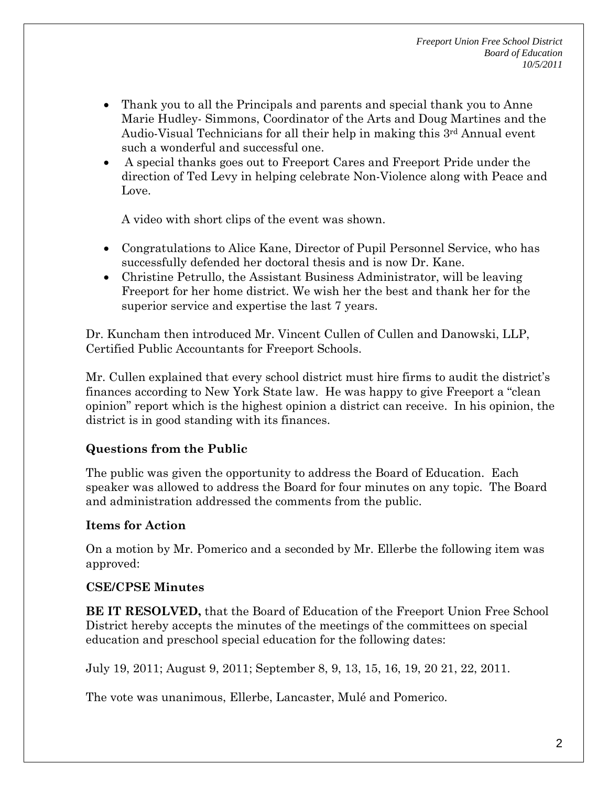- Thank you to all the Principals and parents and special thank you to Anne Marie Hudley- Simmons, Coordinator of the Arts and Doug Martines and the Audio-Visual Technicians for all their help in making this 3<sup>rd</sup> Annual event such a wonderful and successful one.
- A special thanks goes out to Freeport Cares and Freeport Pride under the direction of Ted Levy in helping celebrate Non-Violence along with Peace and Love.

A video with short clips of the event was shown.

- Congratulations to Alice Kane, Director of Pupil Personnel Service, who has successfully defended her doctoral thesis and is now Dr. Kane.
- Christine Petrullo, the Assistant Business Administrator, will be leaving Freeport for her home district. We wish her the best and thank her for the superior service and expertise the last 7 years.

Dr. Kuncham then introduced Mr. Vincent Cullen of Cullen and Danowski, LLP, Certified Public Accountants for Freeport Schools.

Mr. Cullen explained that every school district must hire firms to audit the district's finances according to New York State law. He was happy to give Freeport a "clean opinion" report which is the highest opinion a district can receive. In his opinion, the district is in good standing with its finances.

# **Questions from the Public**

The public was given the opportunity to address the Board of Education. Each speaker was allowed to address the Board for four minutes on any topic. The Board and administration addressed the comments from the public.

# **Items for Action**

On a motion by Mr. Pomerico and a seconded by Mr. Ellerbe the following item was approved:

#### **CSE/CPSE Minutes**

**BE IT RESOLVED,** that the Board of Education of the Freeport Union Free School District hereby accepts the minutes of the meetings of the committees on special education and preschool special education for the following dates:

July 19, 2011; August 9, 2011; September 8, 9, 13, 15, 16, 19, 20 21, 22, 2011.

The vote was unanimous, Ellerbe, Lancaster, Mulé and Pomerico.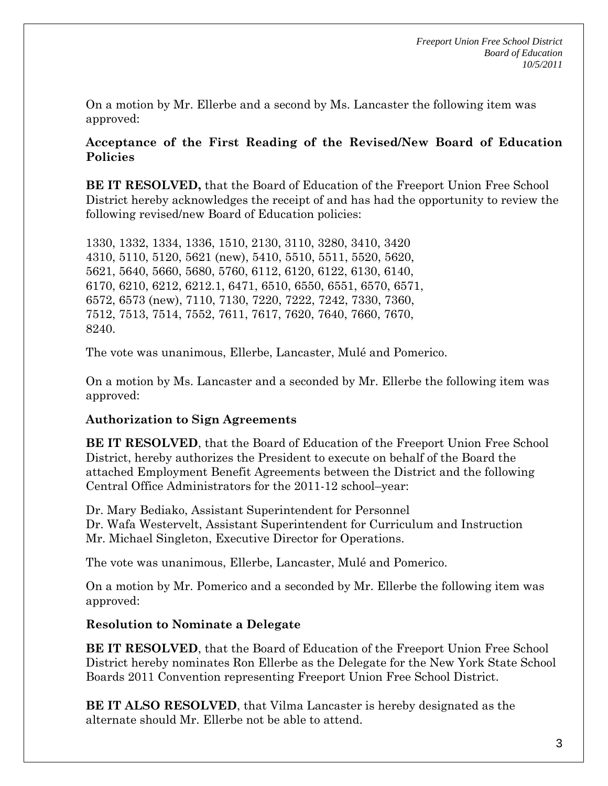On a motion by Mr. Ellerbe and a second by Ms. Lancaster the following item was approved:

#### **Acceptance of the First Reading of the Revised/New Board of Education Policies**

**BE IT RESOLVED,** that the Board of Education of the Freeport Union Free School District hereby acknowledges the receipt of and has had the opportunity to review the following revised/new Board of Education policies:

1330, 1332, 1334, 1336, 1510, 2130, 3110, 3280, 3410, 3420 4310, 5110, 5120, 5621 (new), 5410, 5510, 5511, 5520, 5620, 5621, 5640, 5660, 5680, 5760, 6112, 6120, 6122, 6130, 6140, 6170, 6210, 6212, 6212.1, 6471, 6510, 6550, 6551, 6570, 6571, 6572, 6573 (new), 7110, 7130, 7220, 7222, 7242, 7330, 7360, 7512, 7513, 7514, 7552, 7611, 7617, 7620, 7640, 7660, 7670, 8240.

The vote was unanimous, Ellerbe, Lancaster, Mulé and Pomerico.

On a motion by Ms. Lancaster and a seconded by Mr. Ellerbe the following item was approved:

#### **Authorization to Sign Agreements**

**BE IT RESOLVED**, that the Board of Education of the Freeport Union Free School District, hereby authorizes the President to execute on behalf of the Board the attached Employment Benefit Agreements between the District and the following Central Office Administrators for the 2011-12 school–year:

Dr. Mary Bediako, Assistant Superintendent for Personnel Dr. Wafa Westervelt, Assistant Superintendent for Curriculum and Instruction Mr. Michael Singleton, Executive Director for Operations.

The vote was unanimous, Ellerbe, Lancaster, Mulé and Pomerico.

On a motion by Mr. Pomerico and a seconded by Mr. Ellerbe the following item was approved:

#### **Resolution to Nominate a Delegate**

**BE IT RESOLVED**, that the Board of Education of the Freeport Union Free School District hereby nominates Ron Ellerbe as the Delegate for the New York State School Boards 2011 Convention representing Freeport Union Free School District.

**BE IT ALSO RESOLVED**, that Vilma Lancaster is hereby designated as the alternate should Mr. Ellerbe not be able to attend.